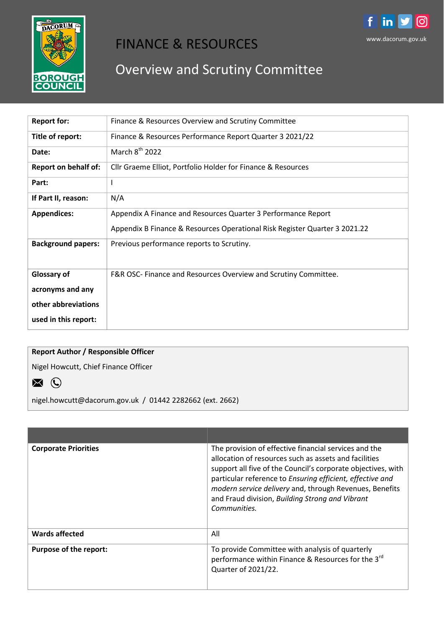

## FINANCE & RESOURCES

## Overview and Scrutiny Committee

| <b>Report for:</b>          | Finance & Resources Overview and Scrutiny Committee                        |  |
|-----------------------------|----------------------------------------------------------------------------|--|
| Title of report:            | Finance & Resources Performance Report Quarter 3 2021/22                   |  |
| Date:                       | March $8^{th}$ 2022                                                        |  |
| <b>Report on behalf of:</b> | Cllr Graeme Elliot, Portfolio Holder for Finance & Resources               |  |
| Part:                       | <sup>1</sup>                                                               |  |
| If Part II, reason:         | N/A                                                                        |  |
| <b>Appendices:</b>          | Appendix A Finance and Resources Quarter 3 Performance Report              |  |
|                             | Appendix B Finance & Resources Operational Risk Register Quarter 3 2021.22 |  |
| <b>Background papers:</b>   | Previous performance reports to Scrutiny.                                  |  |
|                             |                                                                            |  |
| Glossary of                 | F&R OSC- Finance and Resources Overview and Scrutiny Committee.            |  |
| acronyms and any            |                                                                            |  |
| other abbreviations         |                                                                            |  |
| used in this report:        |                                                                            |  |

## **Report Author / Responsible Officer**

Nigel Howcutt, Chief Finance Officer



nigel.howcutt@dacorum.gov.uk / 01442 2282662 (ext. 2662)

| <b>Corporate Priorities</b> | The provision of effective financial services and the<br>allocation of resources such as assets and facilities<br>support all five of the Council's corporate objectives, with<br>particular reference to Ensuring efficient, effective and<br>modern service delivery and, through Revenues, Benefits<br>and Fraud division, Building Strong and Vibrant<br>Communities. |
|-----------------------------|---------------------------------------------------------------------------------------------------------------------------------------------------------------------------------------------------------------------------------------------------------------------------------------------------------------------------------------------------------------------------|
| <b>Wards affected</b>       | All                                                                                                                                                                                                                                                                                                                                                                       |
| Purpose of the report:      | To provide Committee with analysis of quarterly<br>performance within Finance & Resources for the 3rd<br>Quarter of 2021/22.                                                                                                                                                                                                                                              |

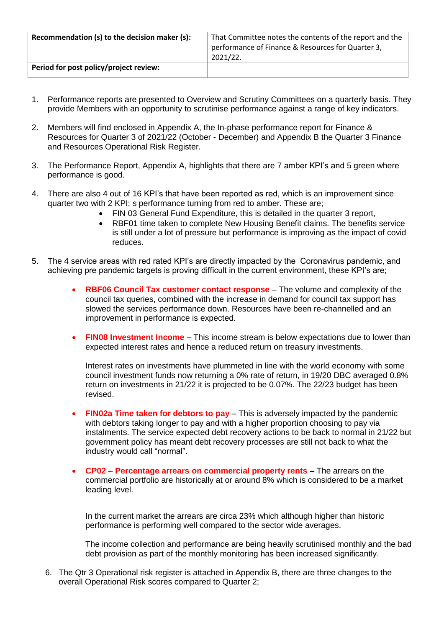| Recommendation (s) to the decision maker (s): | That Committee notes the contents of the report and the<br>performance of Finance & Resources for Quarter 3,<br>2021/22. |
|-----------------------------------------------|--------------------------------------------------------------------------------------------------------------------------|
| Period for post policy/project review:        |                                                                                                                          |

- 1. Performance reports are presented to Overview and Scrutiny Committees on a quarterly basis. They provide Members with an opportunity to scrutinise performance against a range of key indicators.
- 2. Members will find enclosed in Appendix A, the In-phase performance report for Finance & Resources for Quarter 3 of 2021/22 (October - December) and Appendix B the Quarter 3 Finance and Resources Operational Risk Register.
- 3. The Performance Report, Appendix A, highlights that there are 7 amber KPI's and 5 green where performance is good.
- 4. There are also 4 out of 16 KPI's that have been reported as red, which is an improvement since quarter two with 2 KPI; s performance turning from red to amber. These are;
	- FIN 03 General Fund Expenditure, this is detailed in the quarter 3 report,
	- RBF01 time taken to complete New Housing Benefit claims. The benefits service is still under a lot of pressure but performance is improving as the impact of covid reduces.
- 5. The 4 service areas with red rated KPI's are directly impacted by the Coronavirus pandemic, and achieving pre pandemic targets is proving difficult in the current environment, these KPI's are;
	- **RBF06 Council Tax customer contact response** The volume and complexity of the council tax queries, combined with the increase in demand for council tax support has slowed the services performance down. Resources have been re-channelled and an improvement in performance is expected.
	- **FIN08 Investment Income** This income stream is below expectations due to lower than expected interest rates and hence a reduced return on treasury investments.

Interest rates on investments have plummeted in line with the world economy with some council investment funds now returning a 0% rate of return, in 19/20 DBC averaged 0.8% return on investments in 21/22 it is projected to be 0.07%. The 22/23 budget has been revised.

- **FIN02a Time taken for debtors to pay** This is adversely impacted by the pandemic with debtors taking longer to pay and with a higher proportion choosing to pay via instalments. The service expected debt recovery actions to be back to normal in 21/22 but government policy has meant debt recovery processes are still not back to what the industry would call "normal".
- **CP02 – Percentage arrears on commercial property rents –** The arrears on the commercial portfolio are historically at or around 8% which is considered to be a market leading level.

In the current market the arrears are circa 23% which although higher than historic performance is performing well compared to the sector wide averages.

The income collection and performance are being heavily scrutinised monthly and the bad debt provision as part of the monthly monitoring has been increased significantly.

6. The Qtr 3 Operational risk register is attached in Appendix B, there are three changes to the overall Operational Risk scores compared to Quarter 2;